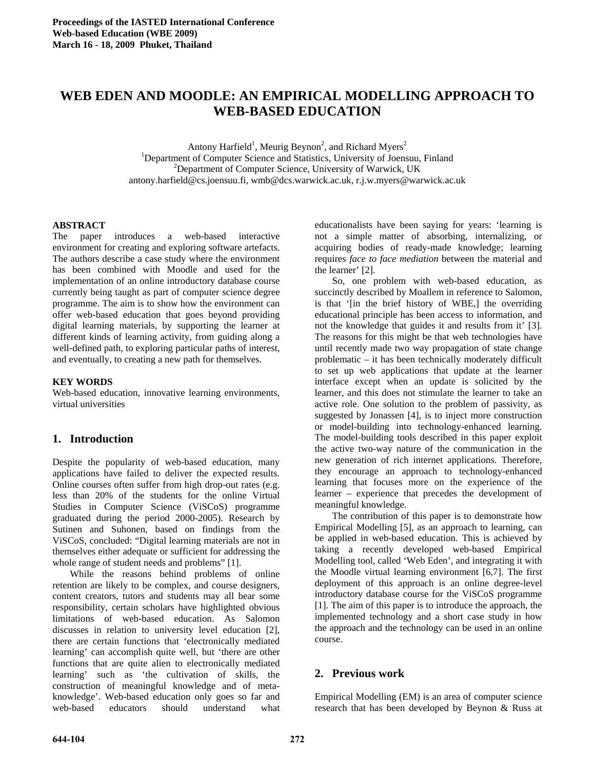# **WEB EDEN AND MOODLE: AN EMPIRICAL MODELLING APPROACH TO WEB-BASED EDUCATION**

Antony Harfield<sup>1</sup>, Meurig Beynon<sup>2</sup>, and Richard Myers<sup>2</sup> <sup>1</sup>Department of Computer Science and Statistics, University of Joensuu, Finland <sup>2</sup>Department of Computer Science, University of Werwick, UK <sup>2</sup>Department of Computer Science, University of Warwick, UK antony.harfield@cs.joensuu.fi, wmb@dcs.warwick.ac.uk, r.j.w.myers@warwick.ac.uk

#### **ABSTRACT**

The paper introduces a web-based interactive environment for creating and exploring software artefacts. The authors describe a case study where the environment has been combined with Moodle and used for the implementation of an online introductory database course currently being taught as part of computer science degree programme. The aim is to show how the environment can offer web-based education that goes beyond providing digital learning materials, by supporting the learner at different kinds of learning activity, from guiding along a well-defined path, to exploring particular paths of interest, and eventually, to creating a new path for themselves.

#### **KEY WORDS**

Web-based education, innovative learning environments, virtual universities

# **1. Introduction**

Despite the popularity of web-based education, many applications have failed to deliver the expected results. Online courses often suffer from high drop-out rates (e.g. less than 20% of the students for the online Virtual Studies in Computer Science (ViSCoS) programme graduated during the period 2000-2005). Research by Sutinen and Suhonen, based on findings from the ViSCoS, concluded: "Digital learning materials are not in themselves either adequate or sufficient for addressing the whole range of student needs and problems" [1].

 While the reasons behind problems of online retention are likely to be complex, and course designers, content creators, tutors and students may all bear some responsibility, certain scholars have highlighted obvious limitations of web-based education. As Salomon discusses in relation to university level education [2], there are certain functions that 'electronically mediated learning' can accomplish quite well, but 'there are other functions that are quite alien to electronically mediated learning' such as 'the cultivation of skills, the construction of meaningful knowledge and of metaknowledge'. Web-based education only goes so far and web-based educators should understand what

educationalists have been saying for years: 'learning is not a simple matter of absorbing, internalizing, or acquiring bodies of ready-made knowledge; learning requires *face to face mediation* between the material and the learner' [2].

 So, one problem with web-based education, as succinctly described by Moallem in reference to Salomon, is that '[in the brief history of WBE,] the overriding educational principle has been access to information, and not the knowledge that guides it and results from it' [3]. The reasons for this might be that web technologies have until recently made two way propagation of state change problematic – it has been technically moderately difficult to set up web applications that update at the learner interface except when an update is solicited by the learner, and this does not stimulate the learner to take an active role. One solution to the problem of passivity, as suggested by Jonassen [4], is to inject more construction or model-building into technology-enhanced learning. The model-building tools described in this paper exploit the active two-way nature of the communication in the new generation of rich internet applications. Therefore, they encourage an approach to technology-enhanced learning that focuses more on the experience of the learner – experience that precedes the development of meaningful knowledge.

 The contribution of this paper is to demonstrate how Empirical Modelling [5], as an approach to learning, can be applied in web-based education. This is achieved by taking a recently developed web-based Empirical Modelling tool, called 'Web Eden', and integrating it with the Moodle virtual learning environment [6,7]. The first deployment of this approach is an online degree-level introductory database course for the ViSCoS programme [1]. The aim of this paper is to introduce the approach, the implemented technology and a short case study in how the approach and the technology can be used in an online course.

# **2. Previous work**

Empirical Modelling (EM) is an area of computer science research that has been developed by Beynon & Russ at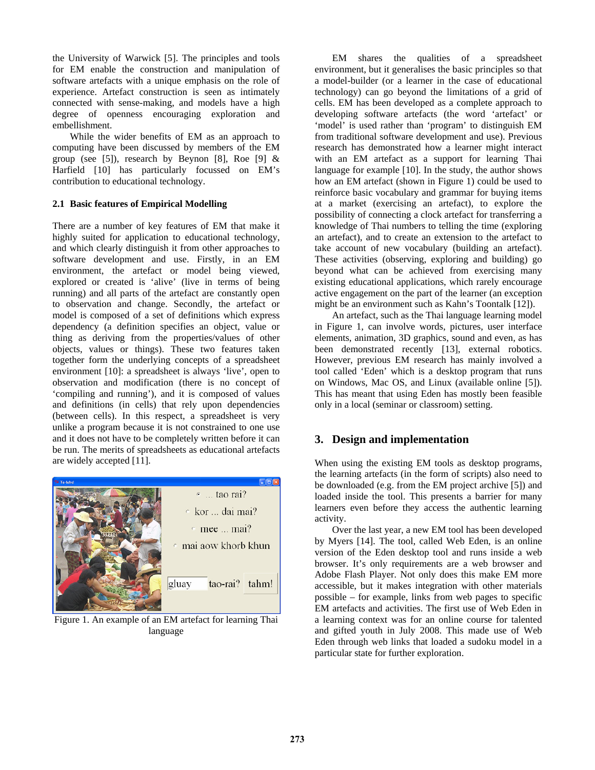the University of Warwick [5]. The principles and tools for EM enable the construction and manipulation of software artefacts with a unique emphasis on the role of experience. Artefact construction is seen as intimately connected with sense-making, and models have a high degree of openness encouraging exploration and embellishment.

 While the wider benefits of EM as an approach to computing have been discussed by members of the EM group (see [5]), research by Beynon [8], Roe [9]  $&$ Harfield [10] has particularly focussed on EM's contribution to educational technology.

#### **2.1 Basic features of Empirical Modelling**

There are a number of key features of EM that make it highly suited for application to educational technology, and which clearly distinguish it from other approaches to software development and use. Firstly, in an EM environment, the artefact or model being viewed, explored or created is 'alive' (live in terms of being running) and all parts of the artefact are constantly open to observation and change. Secondly, the artefact or model is composed of a set of definitions which express dependency (a definition specifies an object, value or thing as deriving from the properties/values of other objects, values or things). These two features taken together form the underlying concepts of a spreadsheet environment [10]: a spreadsheet is always 'live', open to observation and modification (there is no concept of 'compiling and running'), and it is composed of values and definitions (in cells) that rely upon dependencies (between cells). In this respect, a spreadsheet is very unlike a program because it is not constrained to one use and it does not have to be completely written before it can be run. The merits of spreadsheets as educational artefacts are widely accepted [11].



Figure 1. An example of an EM artefact for learning Thai language

 EM shares the qualities of a spreadsheet environment, but it generalises the basic principles so that a model-builder (or a learner in the case of educational technology) can go beyond the limitations of a grid of cells. EM has been developed as a complete approach to developing software artefacts (the word 'artefact' or 'model' is used rather than 'program' to distinguish EM from traditional software development and use). Previous research has demonstrated how a learner might interact with an EM artefact as a support for learning Thai language for example [10]. In the study, the author shows how an EM artefact (shown in Figure 1) could be used to reinforce basic vocabulary and grammar for buying items at a market (exercising an artefact), to explore the possibility of connecting a clock artefact for transferring a knowledge of Thai numbers to telling the time (exploring an artefact), and to create an extension to the artefact to take account of new vocabulary (building an artefact). These activities (observing, exploring and building) go beyond what can be achieved from exercising many existing educational applications, which rarely encourage active engagement on the part of the learner (an exception might be an environment such as Kahn's Toontalk [12]).

 An artefact, such as the Thai language learning model in Figure 1, can involve words, pictures, user interface elements, animation, 3D graphics, sound and even, as has been demonstrated recently [13], external robotics. However, previous EM research has mainly involved a tool called 'Eden' which is a desktop program that runs on Windows, Mac OS, and Linux (available online [5]). This has meant that using Eden has mostly been feasible only in a local (seminar or classroom) setting.

# **3. Design and implementation**

When using the existing EM tools as desktop programs, the learning artefacts (in the form of scripts) also need to be downloaded (e.g. from the EM project archive [5]) and loaded inside the tool. This presents a barrier for many learners even before they access the authentic learning activity.

 Over the last year, a new EM tool has been developed by Myers [14]. The tool, called Web Eden, is an online version of the Eden desktop tool and runs inside a web browser. It's only requirements are a web browser and Adobe Flash Player. Not only does this make EM more accessible, but it makes integration with other materials possible – for example, links from web pages to specific EM artefacts and activities. The first use of Web Eden in a learning context was for an online course for talented and gifted youth in July 2008. This made use of Web Eden through web links that loaded a sudoku model in a particular state for further exploration.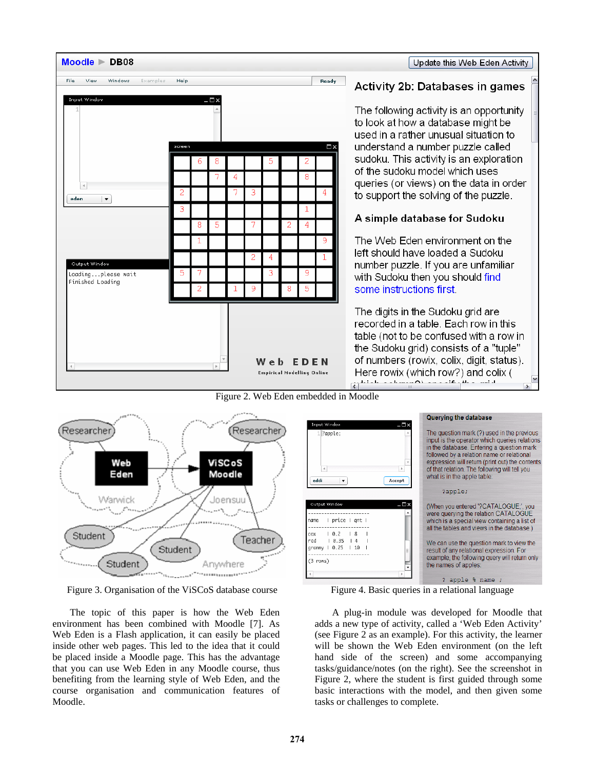

#### Update this Web Eden Activity

# **Activity 2b: Databases in games**

The following activity is an opportunity to look at how a database might be used in a rather unusual situation to understand a number puzzle called sudoku. This activity is an exploration of the sudoku model which uses queries (or views) on the data in order to support the solving of the puzzle.

# A simple database for Sudoku

The Web Eden environment on the left should have loaded a Sudoku number puzzle. If you are unfamiliar with Sudoku then you should find some instructions first

The digits in the Sudoku grid are recorded in a table. Each row in this table (not to be confused with a row in the Sudoku grid) consists of a "tuple" of numbers (rowix, colix, digit, status). Here rowix (which row?) and colix (  $\frac{1}{\left|\mathbf{c}\right|}$  and the set of  $\frac{1}{\left|\mathbf{c}\right|}$  and  $\frac{1}{\left|\mathbf{c}\right|}$  and  $\frac{1}{\left|\mathbf{c}\right|}$  and  $\frac{1}{\left|\mathbf{c}\right|}$ 



Figure 3. Organisation of the ViSCoS database course Figure 4. Basic queries in a relational language

 The topic of this paper is how the Web Eden environment has been combined with Moodle [7]. As Web Eden is a Flash application, it can easily be placed inside other web pages. This led to the idea that it could be placed inside a Moodle page. This has the advantage that you can use Web Eden in any Moodle course, thus benefiting from the learning style of Web Eden, and the course organisation and communication features of Moodle.

Querying the database **Input Window** The question mark (?) used in the previous ?apple; input is the operator which queries relations in the database. Entering a question mark followed by a relation name or relational expression will return (print out) the contents  $\overline{4}$  $\rightarrow$ of that relation. The following will tell you what is in the apple table eddi  $\vert \mathbf{v} \vert$ Accept ?apple; - □× (When you entered '?CATALOGUE;', you were querying the relation CATALOGUE | price | gnt | which is a special view containing a list of name all the tables and views in the database.) cox  $10.2$  $|8$ red  $10.35$  14 We can use the question mark to view the granny | 0.25 | 10 result of any relational expression. For example, the following query will return only  $(3$  rows) the names of apples ? apple % name ;

 A plug-in module was developed for Moodle that adds a new type of activity, called a 'Web Eden Activity' (see Figure 2 as an example). For this activity, the learner will be shown the Web Eden environment (on the left hand side of the screen) and some accompanying tasks/guidance/notes (on the right). See the screenshot in Figure 2, where the student is first guided through some basic interactions with the model, and then given some tasks or challenges to complete.

Figure 2. Web Eden embedded in Moodle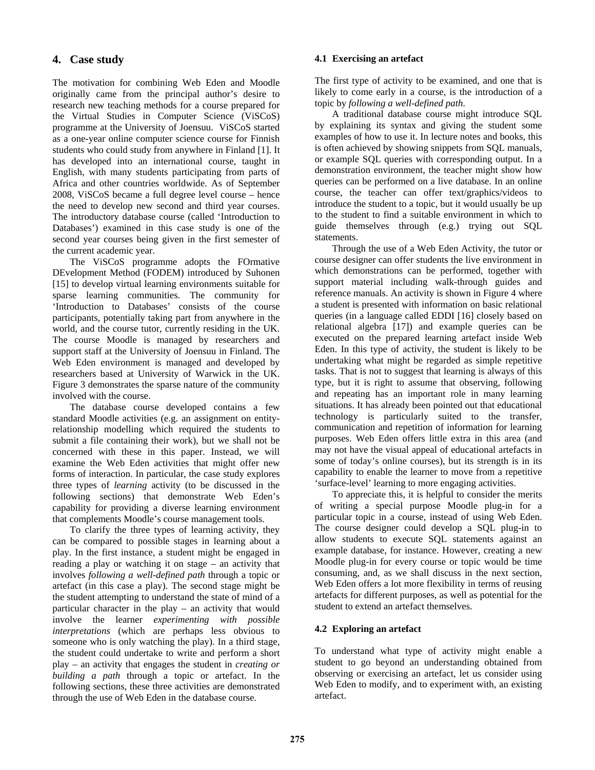# **4. Case study**

The motivation for combining Web Eden and Moodle originally came from the principal author's desire to research new teaching methods for a course prepared for the Virtual Studies in Computer Science (ViSCoS) programme at the University of Joensuu. ViSCoS started as a one-year online computer science course for Finnish students who could study from anywhere in Finland [1]. It has developed into an international course, taught in English, with many students participating from parts of Africa and other countries worldwide. As of September 2008, ViSCoS became a full degree level course – hence the need to develop new second and third year courses. The introductory database course (called 'Introduction to Databases') examined in this case study is one of the second year courses being given in the first semester of the current academic year.

 The ViSCoS programme adopts the FOrmative DEvelopment Method (FODEM) introduced by Suhonen [15] to develop virtual learning environments suitable for sparse learning communities. The community for 'Introduction to Databases' consists of the course participants, potentially taking part from anywhere in the world, and the course tutor, currently residing in the UK. The course Moodle is managed by researchers and support staff at the University of Joensuu in Finland. The Web Eden environment is managed and developed by researchers based at University of Warwick in the UK. Figure 3 demonstrates the sparse nature of the community involved with the course.

 The database course developed contains a few standard Moodle activities (e.g. an assignment on entityrelationship modelling which required the students to submit a file containing their work), but we shall not be concerned with these in this paper. Instead, we will examine the Web Eden activities that might offer new forms of interaction. In particular, the case study explores three types of *learning* activity (to be discussed in the following sections) that demonstrate Web Eden's capability for providing a diverse learning environment that complements Moodle's course management tools.

 To clarify the three types of learning activity, they can be compared to possible stages in learning about a play. In the first instance, a student might be engaged in reading a play or watching it on stage – an activity that involves *following a well-defined path* through a topic or artefact (in this case a play). The second stage might be the student attempting to understand the state of mind of a particular character in the play – an activity that would involve the learner *experimenting with possible interpretations* (which are perhaps less obvious to someone who is only watching the play). In a third stage, the student could undertake to write and perform a short play – an activity that engages the student in *creating or building a path* through a topic or artefact. In the following sections, these three activities are demonstrated through the use of Web Eden in the database course.

#### **4.1 Exercising an artefact**

The first type of activity to be examined, and one that is likely to come early in a course, is the introduction of a topic by *following a well-defined path*.

 A traditional database course might introduce SQL by explaining its syntax and giving the student some examples of how to use it. In lecture notes and books, this is often achieved by showing snippets from SQL manuals, or example SQL queries with corresponding output. In a demonstration environment, the teacher might show how queries can be performed on a live database. In an online course, the teacher can offer text/graphics/videos to introduce the student to a topic, but it would usually be up to the student to find a suitable environment in which to guide themselves through (e.g.) trying out SQL statements.

 Through the use of a Web Eden Activity, the tutor or course designer can offer students the live environment in which demonstrations can be performed, together with support material including walk-through guides and reference manuals. An activity is shown in Figure 4 where a student is presented with information on basic relational queries (in a language called EDDI [16] closely based on relational algebra [17]) and example queries can be executed on the prepared learning artefact inside Web Eden. In this type of activity, the student is likely to be undertaking what might be regarded as simple repetitive tasks. That is not to suggest that learning is always of this type, but it is right to assume that observing, following and repeating has an important role in many learning situations. It has already been pointed out that educational technology is particularly suited to the transfer, communication and repetition of information for learning purposes. Web Eden offers little extra in this area (and may not have the visual appeal of educational artefacts in some of today's online courses), but its strength is in its capability to enable the learner to move from a repetitive 'surface-level' learning to more engaging activities.

 To appreciate this, it is helpful to consider the merits of writing a special purpose Moodle plug-in for a particular topic in a course, instead of using Web Eden. The course designer could develop a SQL plug-in to allow students to execute SQL statements against an example database, for instance. However, creating a new Moodle plug-in for every course or topic would be time consuming, and, as we shall discuss in the next section, Web Eden offers a lot more flexibility in terms of reusing artefacts for different purposes, as well as potential for the student to extend an artefact themselves.

#### **4.2 Exploring an artefact**

To understand what type of activity might enable a student to go beyond an understanding obtained from observing or exercising an artefact, let us consider using Web Eden to modify, and to experiment with, an existing artefact.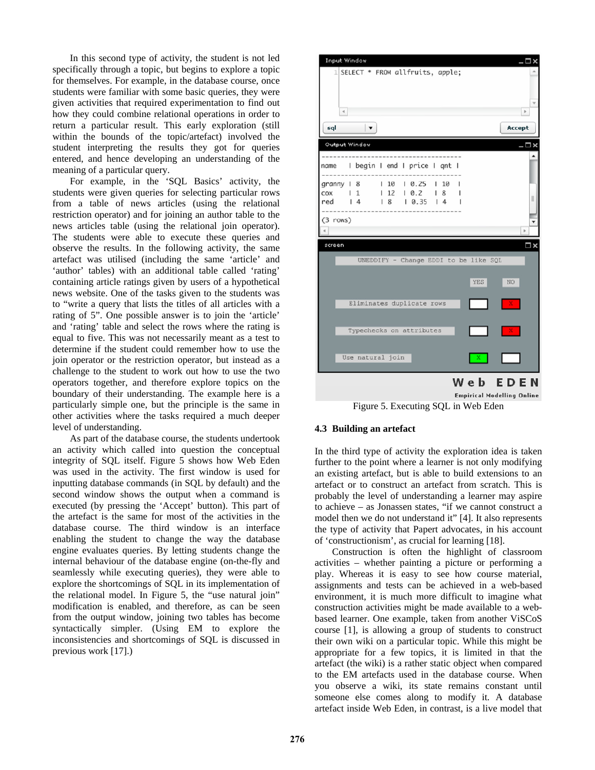In this second type of activity, the student is not led specifically through a topic, but begins to explore a topic for themselves. For example, in the database course, once students were familiar with some basic queries, they were given activities that required experimentation to find out how they could combine relational operations in order to return a particular result. This early exploration (still within the bounds of the topic/artefact) involved the student interpreting the results they got for queries entered, and hence developing an understanding of the meaning of a particular query.

 For example, in the 'SQL Basics' activity, the students were given queries for selecting particular rows from a table of news articles (using the relational restriction operator) and for joining an author table to the news articles table (using the relational join operator). The students were able to execute these queries and observe the results. In the following activity, the same artefact was utilised (including the same 'article' and 'author' tables) with an additional table called 'rating' containing article ratings given by users of a hypothetical news website. One of the tasks given to the students was to "write a query that lists the titles of all articles with a rating of 5". One possible answer is to join the 'article' and 'rating' table and select the rows where the rating is equal to five. This was not necessarily meant as a test to determine if the student could remember how to use the join operator or the restriction operator, but instead as a challenge to the student to work out how to use the two operators together, and therefore explore topics on the boundary of their understanding. The example here is a particularly simple one, but the principle is the same in other activities where the tasks required a much deeper level of understanding.

 As part of the database course, the students undertook an activity which called into question the conceptual integrity of SQL itself. Figure 5 shows how Web Eden was used in the activity. The first window is used for inputting database commands (in SQL by default) and the second window shows the output when a command is executed (by pressing the 'Accept' button). This part of the artefact is the same for most of the activities in the database course. The third window is an interface enabling the student to change the way the database engine evaluates queries. By letting students change the internal behaviour of the database engine (on-the-fly and seamlessly while executing queries), they were able to explore the shortcomings of SQL in its implementation of the relational model. In Figure 5, the "use natural join" modification is enabled, and therefore, as can be seen from the output window, joining two tables has become syntactically simpler. (Using EM to explore the inconsistencies and shortcomings of SQL is discussed in previous work [17].)



Empirical Modelling Online Figure 5. Executing SQL in Web Eden

#### **4.3 Building an artefact**

In the third type of activity the exploration idea is taken further to the point where a learner is not only modifying an existing artefact, but is able to build extensions to an artefact or to construct an artefact from scratch. This is probably the level of understanding a learner may aspire to achieve – as Jonassen states, "if we cannot construct a model then we do not understand it" [4]. It also represents the type of activity that Papert advocates, in his account of 'constructionism', as crucial for learning [18].

 Construction is often the highlight of classroom activities – whether painting a picture or performing a play. Whereas it is easy to see how course material, assignments and tests can be achieved in a web-based environment, it is much more difficult to imagine what construction activities might be made available to a webbased learner. One example, taken from another ViSCoS course [1], is allowing a group of students to construct their own wiki on a particular topic. While this might be appropriate for a few topics, it is limited in that the artefact (the wiki) is a rather static object when compared to the EM artefacts used in the database course. When you observe a wiki, its state remains constant until someone else comes along to modify it. A database artefact inside Web Eden, in contrast, is a live model that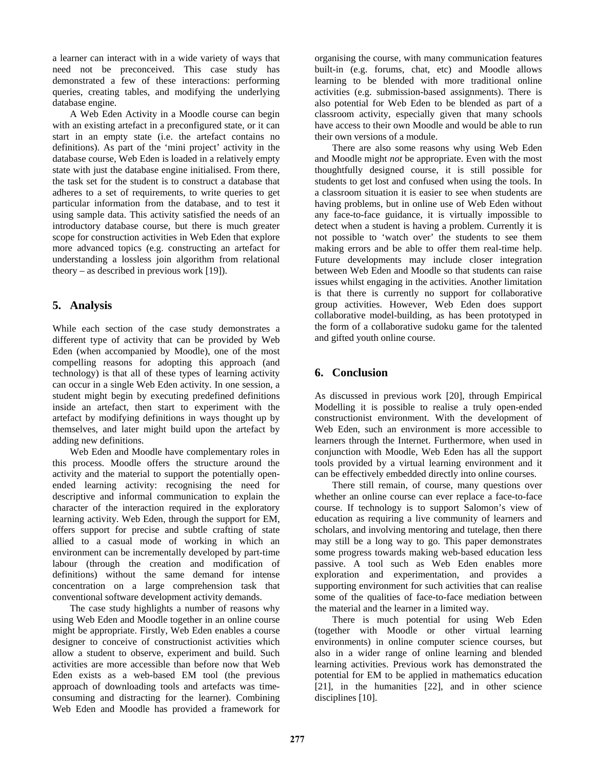a learner can interact with in a wide variety of ways that need not be preconceived. This case study has demonstrated a few of these interactions: performing queries, creating tables, and modifying the underlying database engine.

 A Web Eden Activity in a Moodle course can begin with an existing artefact in a preconfigured state, or it can start in an empty state (i.e. the artefact contains no definitions). As part of the 'mini project' activity in the database course, Web Eden is loaded in a relatively empty state with just the database engine initialised. From there, the task set for the student is to construct a database that adheres to a set of requirements, to write queries to get particular information from the database, and to test it using sample data. This activity satisfied the needs of an introductory database course, but there is much greater scope for construction activities in Web Eden that explore more advanced topics (e.g. constructing an artefact for understanding a lossless join algorithm from relational theory – as described in previous work [19]).

# **5. Analysis**

While each section of the case study demonstrates a different type of activity that can be provided by Web Eden (when accompanied by Moodle), one of the most compelling reasons for adopting this approach (and technology) is that all of these types of learning activity can occur in a single Web Eden activity. In one session, a student might begin by executing predefined definitions inside an artefact, then start to experiment with the artefact by modifying definitions in ways thought up by themselves, and later might build upon the artefact by adding new definitions.

 Web Eden and Moodle have complementary roles in this process. Moodle offers the structure around the activity and the material to support the potentially openended learning activity: recognising the need for descriptive and informal communication to explain the character of the interaction required in the exploratory learning activity. Web Eden, through the support for EM, offers support for precise and subtle crafting of state allied to a casual mode of working in which an environment can be incrementally developed by part-time labour (through the creation and modification of definitions) without the same demand for intense concentration on a large comprehension task that conventional software development activity demands.

 The case study highlights a number of reasons why using Web Eden and Moodle together in an online course might be appropriate. Firstly, Web Eden enables a course designer to conceive of constructionist activities which allow a student to observe, experiment and build. Such activities are more accessible than before now that Web Eden exists as a web-based EM tool (the previous approach of downloading tools and artefacts was timeconsuming and distracting for the learner). Combining Web Eden and Moodle has provided a framework for

organising the course, with many communication features built-in (e.g. forums, chat, etc) and Moodle allows learning to be blended with more traditional online activities (e.g. submission-based assignments). There is also potential for Web Eden to be blended as part of a classroom activity, especially given that many schools have access to their own Moodle and would be able to run their own versions of a module.

 There are also some reasons why using Web Eden and Moodle might *not* be appropriate. Even with the most thoughtfully designed course, it is still possible for students to get lost and confused when using the tools. In a classroom situation it is easier to see when students are having problems, but in online use of Web Eden without any face-to-face guidance, it is virtually impossible to detect when a student is having a problem. Currently it is not possible to 'watch over' the students to see them making errors and be able to offer them real-time help. Future developments may include closer integration between Web Eden and Moodle so that students can raise issues whilst engaging in the activities. Another limitation is that there is currently no support for collaborative group activities. However, Web Eden does support collaborative model-building, as has been prototyped in the form of a collaborative sudoku game for the talented and gifted youth online course.

# **6. Conclusion**

As discussed in previous work [20], through Empirical Modelling it is possible to realise a truly open-ended constructionist environment. With the development of Web Eden, such an environment is more accessible to learners through the Internet. Furthermore, when used in conjunction with Moodle, Web Eden has all the support tools provided by a virtual learning environment and it can be effectively embedded directly into online courses.

 There still remain, of course, many questions over whether an online course can ever replace a face-to-face course. If technology is to support Salomon's view of education as requiring a live community of learners and scholars, and involving mentoring and tutelage, then there may still be a long way to go. This paper demonstrates some progress towards making web-based education less passive. A tool such as Web Eden enables more exploration and experimentation, and provides a supporting environment for such activities that can realise some of the qualities of face-to-face mediation between the material and the learner in a limited way.

 There is much potential for using Web Eden (together with Moodle or other virtual learning environments) in online computer science courses, but also in a wider range of online learning and blended learning activities. Previous work has demonstrated the potential for EM to be applied in mathematics education [21], in the humanities [22], and in other science disciplines [10].